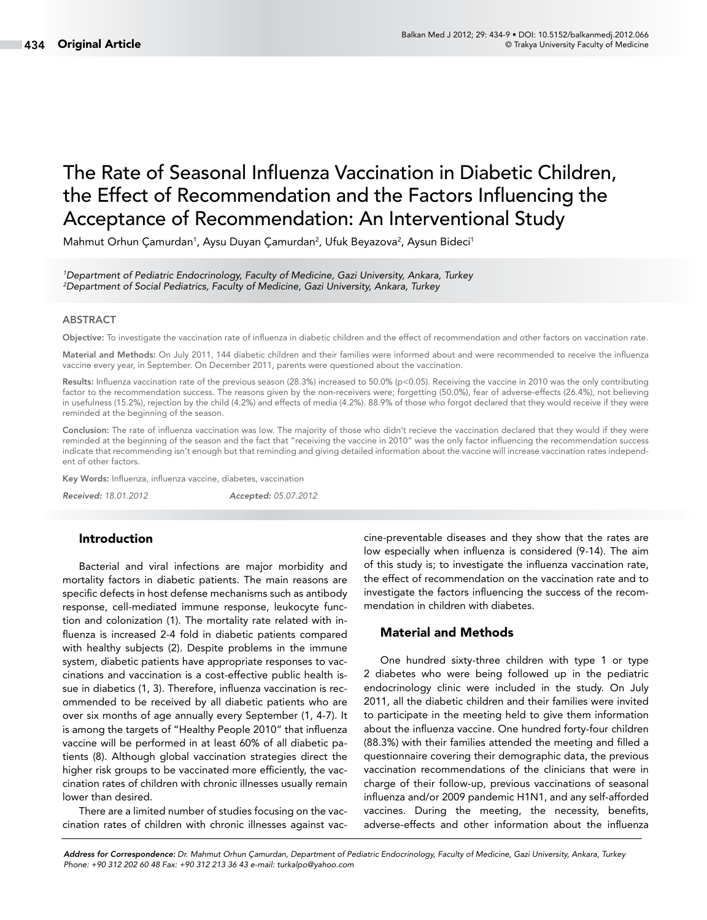# The Rate of Seasonal Influenza Vaccination in Diabetic Children, the Effect of Recommendation and the Factors Influencing the Acceptance of Recommendation: An Interventional Study

Mahmut Orhun Çamurdan<sup>1</sup>, Aysu Duyan Çamurdan<sup>2</sup>, Ufuk Beyazova<sup>2</sup>, Aysun Bideci<sup>1</sup>

*1 Department of Pediatric Endocrinology, Faculty of Medicine, Gazi University, Ankara, Turkey 2 Department of Social Pediatrics, Faculty of Medicine, Gazi University, Ankara, Turkey*

#### ABSTRACT

Objective: To investigate the vaccination rate of influenza in diabetic children and the effect of recommendation and other factors on vaccination rate.

Material and Methods: On July 2011, 144 diabetic children and their families were informed about and were recommended to receive the influenza vaccine every year, in September. On December 2011, parents were questioned about the vaccination.

Results: Influenza vaccination rate of the previous season (28.3%) increased to 50.0% (p<0.05). Receiving the vaccine in 2010 was the only contributing factor to the recommendation success. The reasons given by the non-receivers were; forgetting (50.0%), fear of adverse-effects (26.4%), not believing in usefulness (15.2%), rejection by the child (4.2%) and effects of media (4.2%). 88.9% of those who forgot declared that they would receive if they were reminded at the beginning of the season.

Conclusion: The rate of influenza vaccination was low. The majority of those who didn't recieve the vaccination declared that they would if they were reminded at the beginning of the season and the fact that "receiving the vaccine in 2010" was the only factor influencing the recommendation success indicate that recommending isn't enough but that reminding and giving detailed information about the vaccine will increase vaccination rates independent of other factors.

Key Words: Influenza, influenza vaccine, diabetes, vaccination

*Received: 18.01.2012 Accepted: 05.07.2012*

#### Introduction

Bacterial and viral infections are major morbidity and mortality factors in diabetic patients. The main reasons are specific defects in host defense mechanisms such as antibody response, cell-mediated immune response, leukocyte function and colonization (1). The mortality rate related with influenza is increased 2-4 fold in diabetic patients compared with healthy subjects (2). Despite problems in the immune system, diabetic patients have appropriate responses to vaccinations and vaccination is a cost-effective public health issue in diabetics (1, 3). Therefore, influenza vaccination is recommended to be received by all diabetic patients who are over six months of age annually every September (1, 4-7). It is among the targets of "Healthy People 2010" that influenza vaccine will be performed in at least 60% of all diabetic patients (8). Although global vaccination strategies direct the higher risk groups to be vaccinated more efficiently, the vaccination rates of children with chronic illnesses usually remain lower than desired.

There are a limited number of studies focusing on the vaccination rates of children with chronic illnesses against vaccine-preventable diseases and they show that the rates are low especially when influenza is considered (9-14). The aim of this study is; to investigate the influenza vaccination rate, the effect of recommendation on the vaccination rate and to investigate the factors influencing the success of the recommendation in children with diabetes.

## Material and Methods

One hundred sixty-three children with type 1 or type 2 diabetes who were being followed up in the pediatric endocrinology clinic were included in the study. On July 2011, all the diabetic children and their families were invited to participate in the meeting held to give them information about the influenza vaccine. One hundred forty-four children (88.3%) with their families attended the meeting and filled a questionnaire covering their demographic data, the previous vaccination recommendations of the clinicians that were in charge of their follow-up, previous vaccinations of seasonal influenza and/or 2009 pandemic H1N1, and any self-afforded vaccines. During the meeting, the necessity, benefits, adverse-effects and other information about the influenza

*Address for Correspondence: Dr. Mahmut Orhun Çamurdan, Department of Pediatric Endocrinology, Faculty of Medicine, Gazi University, Ankara, Turkey Phone: +90 312 202 60 48 Fax: +90 312 213 36 43 e-mail: turkalpo@yahoo.com*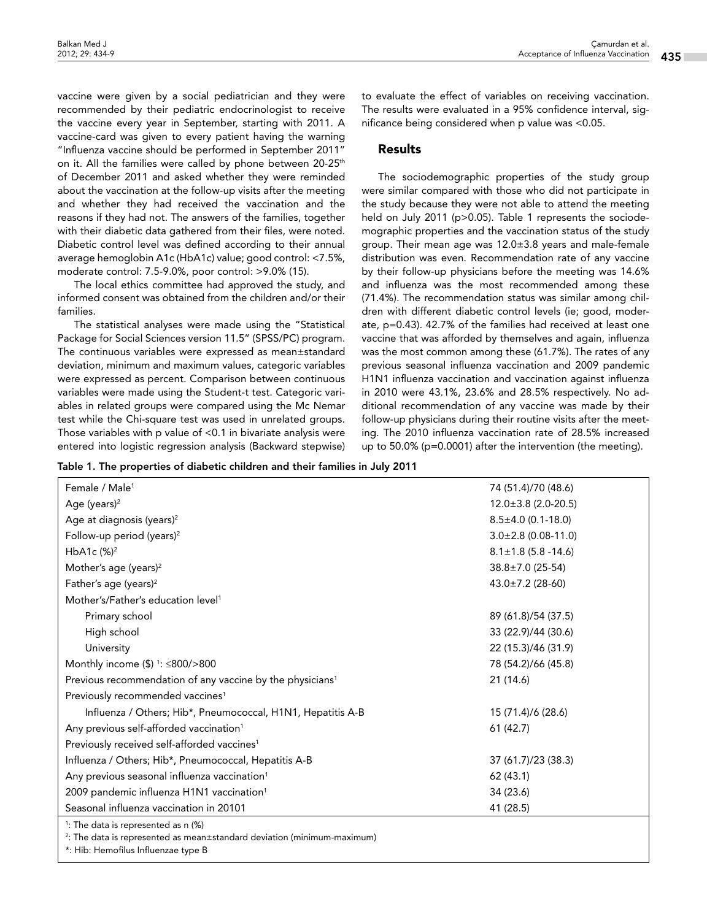vaccine were given by a social pediatrician and they were recommended by their pediatric endocrinologist to receive the vaccine every year in September, starting with 2011. A vaccine-card was given to every patient having the warning "Influenza vaccine should be performed in September 2011" on it. All the families were called by phone between 20-25<sup>th</sup> of December 2011 and asked whether they were reminded about the vaccination at the follow-up visits after the meeting and whether they had received the vaccination and the reasons if they had not. The answers of the families, together with their diabetic data gathered from their files, were noted. Diabetic control level was defined according to their annual average hemoglobin A1c (HbA1c) value; good control: <7.5%, moderate control: 7.5-9.0%, poor control: >9.0% (15).

The local ethics committee had approved the study, and informed consent was obtained from the children and/or their families.

The statistical analyses were made using the "Statistical Package for Social Sciences version 11.5" (SPSS/PC) program. The continuous variables were expressed as mean±standard deviation, minimum and maximum values, categoric variables were expressed as percent. Comparison between continuous variables were made using the Student-t test. Categoric variables in related groups were compared using the Mc Nemar test while the Chi-square test was used in unrelated groups. Those variables with p value of <0.1 in bivariate analysis were entered into logistic regression analysis (Backward stepwise) to evaluate the effect of variables on receiving vaccination. The results were evaluated in a 95% confidence interval, significance being considered when p value was <0.05.

#### Results

The sociodemographic properties of the study group were similar compared with those who did not participate in the study because they were not able to attend the meeting held on July 2011 (p>0.05). Table 1 represents the sociodemographic properties and the vaccination status of the study group. Their mean age was 12.0±3.8 years and male-female distribution was even. Recommendation rate of any vaccine by their follow-up physicians before the meeting was 14.6% and influenza was the most recommended among these (71.4%). The recommendation status was similar among children with different diabetic control levels (ie; good, moderate, p=0.43). 42.7% of the families had received at least one vaccine that was afforded by themselves and again, influenza was the most common among these (61.7%). The rates of any previous seasonal influenza vaccination and 2009 pandemic H1N1 influenza vaccination and vaccination against influenza in 2010 were 43.1%, 23.6% and 28.5% respectively. No additional recommendation of any vaccine was made by their follow-up physicians during their routine visits after the meeting. The 2010 influenza vaccination rate of 28.5% increased up to 50.0% (p=0.0001) after the intervention (the meeting).

Table 1. The properties of diabetic children and their families in July 2011

| Female / Male <sup>1</sup>                                            | 74 (51.4)/70 (48.6)        |  |  |
|-----------------------------------------------------------------------|----------------------------|--|--|
| Age (years) $2$                                                       | $12.0 \pm 3.8$ (2.0-20.5)  |  |  |
| Age at diagnosis (years) <sup>2</sup>                                 | $8.5 \pm 4.0$ (0.1-18.0)   |  |  |
| Follow-up period (years) <sup>2</sup>                                 | $3.0 \pm 2.8$ (0.08-11.0)  |  |  |
| HbA1c $(%)^2$                                                         | $8.1 \pm 1.8$ (5.8 - 14.6) |  |  |
| Mother's age (years) <sup>2</sup>                                     | $38.8 \pm 7.0$ (25-54)     |  |  |
| Father's age (years) <sup>2</sup>                                     | $43.0 \pm 7.2$ (28-60)     |  |  |
| Mother's/Father's education level <sup>1</sup>                        |                            |  |  |
| Primary school                                                        | 89 (61.8)/54 (37.5)        |  |  |
| High school                                                           | 33 (22.9)/44 (30.6)        |  |  |
| University                                                            | 22 (15.3)/46 (31.9)        |  |  |
| Monthly income $($)$ <sup>1</sup> : $\leq$ 800/>800                   | 78 (54.2)/66 (45.8)        |  |  |
| Previous recommendation of any vaccine by the physicians <sup>1</sup> | 21 (14.6)                  |  |  |
| Previously recommended vaccines <sup>1</sup>                          |                            |  |  |
| Influenza / Others; Hib*, Pneumococcal, H1N1, Hepatitis A-B           | 15 (71.4)/6 (28.6)         |  |  |
| Any previous self-afforded vaccination <sup>1</sup>                   | 61(42.7)                   |  |  |
| Previously received self-afforded vaccines <sup>1</sup>               |                            |  |  |
| Influenza / Others; Hib*, Pneumococcal, Hepatitis A-B                 | 37 (61.7)/23 (38.3)        |  |  |
| Any previous seasonal influenza vaccination <sup>1</sup>              | 62 (43.1)                  |  |  |
| 2009 pandemic influenza H1N1 vaccination <sup>1</sup>                 | 34 (23.6)                  |  |  |
| Seasonal influenza vaccination in 20101                               | 41 (28.5)                  |  |  |
| <sup>1</sup> : The data is represented as n (%)                       |                            |  |  |

2 : The data is represented as mean±standard deviation (minimum-maximum)

\*: Hib: Hemofilus Influenzae type B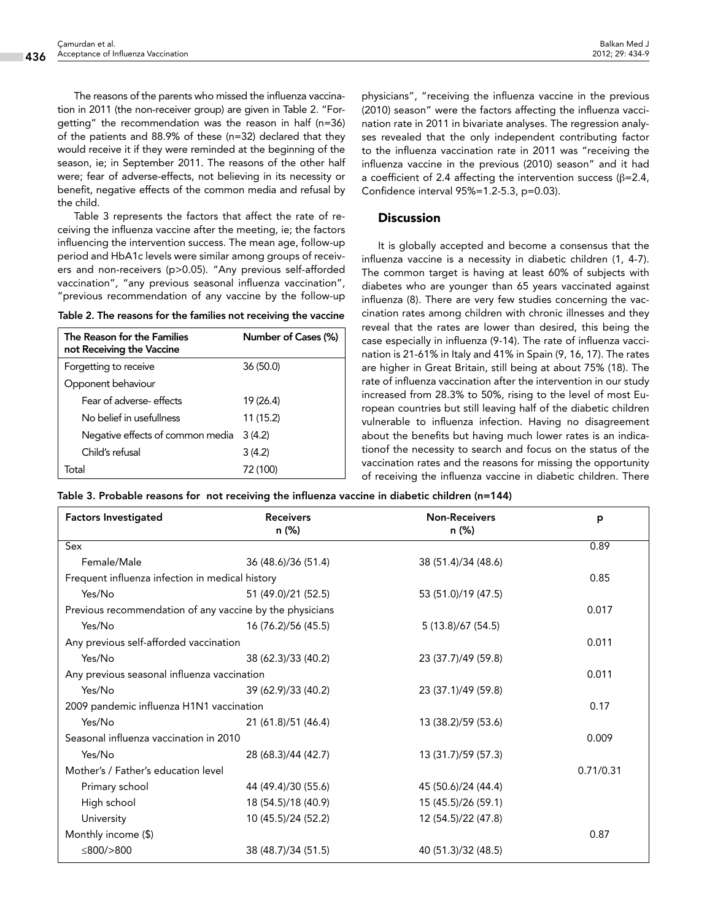The reasons of the parents who missed the influenza vaccination in 2011 (the non-receiver group) are given in Table 2. "Forgetting" the recommendation was the reason in half (n=36) of the patients and 88.9% of these (n=32) declared that they would receive it if they were reminded at the beginning of the season, ie; in September 2011. The reasons of the other half were; fear of adverse-effects, not believing in its necessity or benefit, negative effects of the common media and refusal by the child.

Table 3 represents the factors that affect the rate of receiving the influenza vaccine after the meeting, ie; the factors influencing the intervention success. The mean age, follow-up period and HbA1c levels were similar among groups of receivers and non-receivers (p>0.05). "Any previous self-afforded vaccination", "any previous seasonal influenza vaccination", "previous recommendation of any vaccine by the follow-up

|  |  |  | Table 2. The reasons for the families not receiving the vaccine |  |
|--|--|--|-----------------------------------------------------------------|--|
|  |  |  |                                                                 |  |

| The Reason for the Families<br>not Receiving the Vaccine | Number of Cases (%) |
|----------------------------------------------------------|---------------------|
| Forgetting to receive                                    | 36 (50.0)           |
| Opponent behaviour                                       |                     |
| Fear of adverse-effects                                  | 19 (26.4)           |
| No belief in usefullness                                 | 11 (15.2)           |
| Negative effects of common media                         | 3(4.2)              |
| Child's refusal                                          | 3(4.2)              |
| ั∩†al                                                    | 72 (100)            |

physicians", "receiving the influenza vaccine in the previous (2010) season" were the factors affecting the influenza vaccination rate in 2011 in bivariate analyses. The regression analyses revealed that the only independent contributing factor to the influenza vaccination rate in 2011 was "receiving the influenza vaccine in the previous (2010) season" and it had a coefficient of 2.4 affecting the intervention success ( $β = 2.4$ , Confidence interval 95%=1.2-5.3, p=0.03).

### **Discussion**

It is globally accepted and become a consensus that the influenza vaccine is a necessity in diabetic children (1, 4-7). The common target is having at least 60% of subjects with diabetes who are younger than 65 years vaccinated against influenza (8). There are very few studies concerning the vaccination rates among children with chronic illnesses and they reveal that the rates are lower than desired, this being the case especially in influenza (9-14). The rate of influenza vaccination is 21-61% in Italy and 41% in Spain (9, 16, 17). The rates are higher in Great Britain, still being at about 75% (18). The rate of influenza vaccination after the intervention in our study increased from 28.3% to 50%, rising to the level of most European countries but still leaving half of the diabetic children vulnerable to influenza infection. Having no disagreement about the benefits but having much lower rates is an indicationof the necessity to search and focus on the status of the vaccination rates and the reasons for missing the opportunity of receiving the influenza vaccine in diabetic children. There

Table 3. Probable reasons for not receiving the influenza vaccine in diabetic children (n=144)

| <b>Factors Investigated</b>                              | <b>Receivers</b><br>n (%) | <b>Non-Receivers</b><br>n (%) | p     |
|----------------------------------------------------------|---------------------------|-------------------------------|-------|
| Sex                                                      |                           |                               | 0.89  |
| Female/Male                                              | 36 (48.6)/36 (51.4)       | 38 (51.4)/34 (48.6)           |       |
| Frequent influenza infection in medical history          | 0.85                      |                               |       |
| Yes/No                                                   | 51 (49.0)/21 (52.5)       | 53 (51.0)/19 (47.5)           |       |
| Previous recommendation of any vaccine by the physicians |                           | 0.017                         |       |
| Yes/No                                                   | 16 (76.2)/56 (45.5)       | 5 (13.8)/67 (54.5)            |       |
| Any previous self-afforded vaccination                   |                           |                               | 0.011 |
| Yes/No                                                   | 38 (62.3)/33 (40.2)       | 23 (37.7)/49 (59.8)           |       |
| Any previous seasonal influenza vaccination              |                           |                               | 0.011 |
| Yes/No                                                   | 39 (62.9)/33 (40.2)       | 23 (37.1)/49 (59.8)           |       |
| 2009 pandemic influenza H1N1 vaccination                 | 0.17                      |                               |       |
| Yes/No                                                   | 21 (61.8)/51 (46.4)       | 13 (38.2)/59 (53.6)           |       |
| Seasonal influenza vaccination in 2010                   | 0.009                     |                               |       |
| Yes/No                                                   | 28 (68.3)/44 (42.7)       | 13 (31.7)/59 (57.3)           |       |
| Mother's / Father's education level                      | 0.71/0.31                 |                               |       |
| Primary school                                           | 44 (49.4)/30 (55.6)       | 45 (50.6)/24 (44.4)           |       |
| High school                                              | 18 (54.5)/18 (40.9)       | 15 (45.5)/26 (59.1)           |       |
| University                                               | 10 (45.5)/24 (52.2)       | 12 (54.5)/22 (47.8)           |       |
| Monthly income (\$)                                      |                           |                               | 0.87  |
| ≤800/>800                                                | 38 (48.7)/34 (51.5)       | 40 (51.3)/32 (48.5)           |       |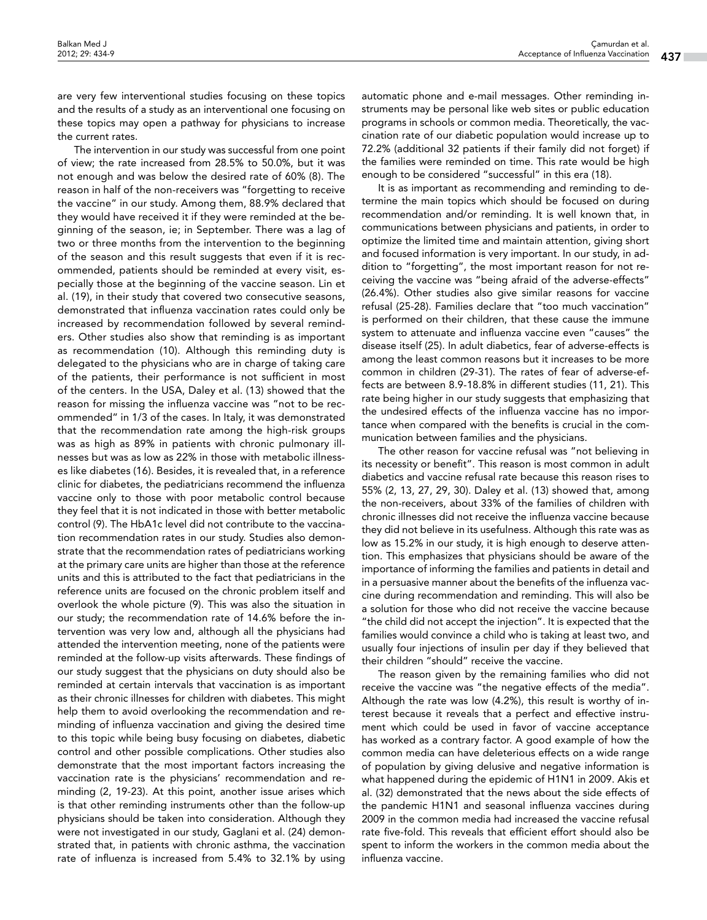are very few interventional studies focusing on these topics and the results of a study as an interventional one focusing on these topics may open a pathway for physicians to increase the current rates.

The intervention in our study was successful from one point of view; the rate increased from 28.5% to 50.0%, but it was not enough and was below the desired rate of 60% (8). The reason in half of the non-receivers was "forgetting to receive the vaccine" in our study. Among them, 88.9% declared that they would have received it if they were reminded at the beginning of the season, ie; in September. There was a lag of two or three months from the intervention to the beginning of the season and this result suggests that even if it is recommended, patients should be reminded at every visit, especially those at the beginning of the vaccine season. Lin et al. (19), in their study that covered two consecutive seasons, demonstrated that influenza vaccination rates could only be increased by recommendation followed by several reminders. Other studies also show that reminding is as important as recommendation (10). Although this reminding duty is delegated to the physicians who are in charge of taking care of the patients, their performance is not sufficient in most of the centers. In the USA, Daley et al. (13) showed that the reason for missing the influenza vaccine was "not to be recommended" in 1/3 of the cases. In Italy, it was demonstrated that the recommendation rate among the high-risk groups was as high as 89% in patients with chronic pulmonary illnesses but was as low as 22% in those with metabolic illnesses like diabetes (16). Besides, it is revealed that, in a reference clinic for diabetes, the pediatricians recommend the influenza vaccine only to those with poor metabolic control because they feel that it is not indicated in those with better metabolic control (9). The HbA1c level did not contribute to the vaccination recommendation rates in our study. Studies also demonstrate that the recommendation rates of pediatricians working at the primary care units are higher than those at the reference units and this is attributed to the fact that pediatricians in the reference units are focused on the chronic problem itself and overlook the whole picture (9). This was also the situation in our study; the recommendation rate of 14.6% before the intervention was very low and, although all the physicians had attended the intervention meeting, none of the patients were reminded at the follow-up visits afterwards. These findings of our study suggest that the physicians on duty should also be reminded at certain intervals that vaccination is as important as their chronic illnesses for children with diabetes. This might help them to avoid overlooking the recommendation and reminding of influenza vaccination and giving the desired time to this topic while being busy focusing on diabetes, diabetic control and other possible complications. Other studies also demonstrate that the most important factors increasing the vaccination rate is the physicians' recommendation and reminding (2, 19-23). At this point, another issue arises which is that other reminding instruments other than the follow-up physicians should be taken into consideration. Although they were not investigated in our study, Gaglani et al. (24) demonstrated that, in patients with chronic asthma, the vaccination rate of influenza is increased from 5.4% to 32.1% by using

automatic phone and e-mail messages. Other reminding instruments may be personal like web sites or public education programs in schools or common media. Theoretically, the vaccination rate of our diabetic population would increase up to 72.2% (additional 32 patients if their family did not forget) if the families were reminded on time. This rate would be high enough to be considered "successful" in this era (18).

It is as important as recommending and reminding to determine the main topics which should be focused on during recommendation and/or reminding. It is well known that, in communications between physicians and patients, in order to optimize the limited time and maintain attention, giving short and focused information is very important. In our study, in addition to "forgetting", the most important reason for not receiving the vaccine was "being afraid of the adverse-effects" (26.4%). Other studies also give similar reasons for vaccine refusal (25-28). Families declare that "too much vaccination" is performed on their children, that these cause the immune system to attenuate and influenza vaccine even "causes" the disease itself (25). In adult diabetics, fear of adverse-effects is among the least common reasons but it increases to be more common in children (29-31). The rates of fear of adverse-effects are between 8.9-18.8% in different studies (11, 21). This rate being higher in our study suggests that emphasizing that the undesired effects of the influenza vaccine has no importance when compared with the benefits is crucial in the communication between families and the physicians.

The other reason for vaccine refusal was "not believing in its necessity or benefit". This reason is most common in adult diabetics and vaccine refusal rate because this reason rises to 55% (2, 13, 27, 29, 30). Daley et al. (13) showed that, among the non-receivers, about 33% of the families of children with chronic illnesses did not receive the influenza vaccine because they did not believe in its usefulness. Although this rate was as low as 15.2% in our study, it is high enough to deserve attention. This emphasizes that physicians should be aware of the importance of informing the families and patients in detail and in a persuasive manner about the benefits of the influenza vaccine during recommendation and reminding. This will also be a solution for those who did not receive the vaccine because "the child did not accept the injection". It is expected that the families would convince a child who is taking at least two, and usually four injections of insulin per day if they believed that their children "should" receive the vaccine.

The reason given by the remaining families who did not receive the vaccine was "the negative effects of the media". Although the rate was low (4.2%), this result is worthy of interest because it reveals that a perfect and effective instrument which could be used in favor of vaccine acceptance has worked as a contrary factor. A good example of how the common media can have deleterious effects on a wide range of population by giving delusive and negative information is what happened during the epidemic of H1N1 in 2009. Akis et al. (32) demonstrated that the news about the side effects of the pandemic H1N1 and seasonal influenza vaccines during 2009 in the common media had increased the vaccine refusal rate five-fold. This reveals that efficient effort should also be spent to inform the workers in the common media about the influenza vaccine.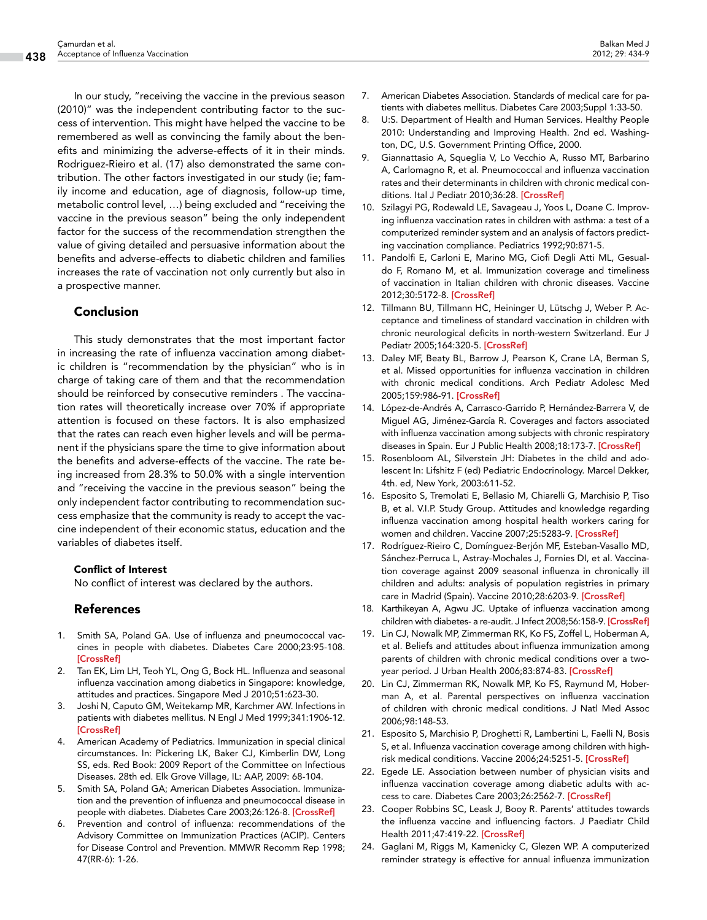In our study, "receiving the vaccine in the previous season (2010)" was the independent contributing factor to the success of intervention. This might have helped the vaccine to be remembered as well as convincing the family about the benefits and minimizing the adverse-effects of it in their minds. Rodriguez-Rieiro et al. (17) also demonstrated the same contribution. The other factors investigated in our study (ie; family income and education, age of diagnosis, follow-up time, metabolic control level, …) being excluded and "receiving the vaccine in the previous season" being the only independent factor for the success of the recommendation strengthen the value of giving detailed and persuasive information about the benefits and adverse-effects to diabetic children and families increases the rate of vaccination not only currently but also in a prospective manner.

## Conclusion

This study demonstrates that the most important factor in increasing the rate of influenza vaccination among diabetic children is "recommendation by the physician" who is in charge of taking care of them and that the recommendation should be reinforced by consecutive reminders . The vaccination rates will theoretically increase over 70% if appropriate attention is focused on these factors. It is also emphasized that the rates can reach even higher levels and will be permanent if the physicians spare the time to give information about the benefits and adverse-effects of the vaccine. The rate being increased from 28.3% to 50.0% with a single intervention and "receiving the vaccine in the previous season" being the only independent factor contributing to recommendation success emphasize that the community is ready to accept the vaccine independent of their economic status, education and the variables of diabetes itself.

#### Conflict of Interest

No conflict of interest was declared by the authors.

## References

- 1. Smith SA, Poland GA. Use of influenza and pneumococcal vaccines in people with diabetes. Diabetes Care 2000;23:95-108. **[[CrossRef\]](http://dx.doi.org/10.2337/diacare.23.1.95)**
- 2. Tan EK, Lim LH, Teoh YL, Ong G, Bock HL. Influenza and seasonal influenza vaccination among diabetics in Singapore: knowledge, attitudes and practices. Singapore Med J 2010;51:623-30.
- 3. Joshi N, Caputo GM, Weitekamp MR, Karchmer AW. Infections in patients with diabetes mellitus. N Engl J Med 1999;341:1906-12. [[CrossRef\]](http://dx.doi.org/10.1056/NEJM199912163412507)
- 4. American Academy of Pediatrics. Immunization in special clinical circumstances. In: Pickering LK, Baker CJ, Kimberlin DW, Long SS, eds. Red Book: 2009 Report of the Committee on Infectious Diseases. 28th ed. Elk Grove Village, IL: AAP, 2009: 68-104.
- 5. Smith SA, Poland GA; American Diabetes Association. Immunization and the prevention of influenza and pneumococcal disease in people with diabetes. Diabetes Care 2003;26:126-8. [\[CrossRef\]](http://dx.doi.org/10.2337/diacare.26.2007.S126)
- 6. Prevention and control of influenza: recommendations of the Advisory Committee on Immunization Practices (ACIP). Centers for Disease Control and Prevention. MMWR Recomm Rep 1998; 47(RR-6): 1-26.
- 7. American Diabetes Association. Standards of medical care for patients with diabetes mellitus. Diabetes Care 2003;Suppl 1:33-50.
- 8. U:S. Department of Health and Human Services. Healthy People 2010: Understanding and Improving Health. 2nd ed. Washington, DC, U.S. Government Printing Office, 2000.
- 9. Giannattasio A, Squeglia V, Lo Vecchio A, Russo MT, Barbarino A, Carlomagno R, et al. Pneumococcal and influenza vaccination rates and their determinants in children with chronic medical conditions. Ital J Pediatr 2010;36:28. [\[CrossRef](http://dx.doi.org/10.1186/1824-7288-36-28)]
- 10. Szilagyi PG, Rodewald LE, Savageau J, Yoos L, Doane C. Improving influenza vaccination rates in children with asthma: a test of a computerized reminder system and an analysis of factors predicting vaccination compliance. Pediatrics 1992;90:871-5.
- 11. Pandolfi E, Carloni E, Marino MG, Ciofi Degli Atti ML, Gesualdo F, Romano M, et al. Immunization coverage and timeliness of vaccination in Italian children with chronic diseases. Vaccine 2012;30:5172-8. [[CrossRef](http://dx.doi.org/10.1016/j.vaccine.2011.02.099)]
- 12. Tillmann BU, Tillmann HC, Heininger U, Lütschg J, Weber P. Acceptance and timeliness of standard vaccination in children with chronic neurological deficits in north-western Switzerland. Eur J Pediatr 2005;164:320-5. [[CrossRef](http://dx.doi.org/10.1007/s00431-005-1627-x)]
- 13. Daley MF, Beaty BL, Barrow J, Pearson K, Crane LA, Berman S, et al. Missed opportunities for influenza vaccination in children with chronic medical conditions. Arch Pediatr Adolesc Med 2005;159:986-91. [[CrossRef\]](http://dx.doi.org/10.1001/archpedi.159.10.986)
- 14. López-de-Andrés A, Carrasco-Garrido P, Hernández-Barrera V, de Miguel AG, Jiménez-García R. Coverages and factors associated with influenza vaccination among subjects with chronic respiratory diseases in Spain. Eur J Public Health 2008;18:173-7. [\[CrossRef](http://dx.doi.org/10.1093/eurpub/ckm093)]
- 15. Rosenbloom AL, Silverstein JH: Diabetes in the child and adolescent In: Lifshitz F (ed) Pediatric Endocrinology. Marcel Dekker, 4th. ed, New York, 2003:611-52.
- 16. Esposito S, Tremolati E, Bellasio M, Chiarelli G, Marchisio P, Tiso B, et al. V.I.P. Study Group. Attitudes and knowledge regarding influenza vaccination among hospital health workers caring for women and children. Vaccine 2007;25:5283-9. [\[CrossRef](http://dx.doi.org/10.1016/j.vaccine.2007.05.011)]
- 17. Rodríguez-Rieiro C, Domínguez-Berjón MF, Esteban-Vasallo MD, Sánchez-Perruca L, Astray-Mochales J, Fornies DI, et al. Vaccination coverage against 2009 seasonal influenza in chronically ill children and adults: analysis of population registries in primary care in Madrid (Spain). Vaccine 2010;28:6203-9. [[CrossRef\]](http://dx.doi.org/10.1016/j.vaccine.2010.07.013)
- 18. Karthikeyan A, Agwu JC. Uptake of influenza vaccination among children with diabetes- a re-audit. J Infect 2008;56:158-9. [\[CrossRef\]](http://dx.doi.org/10.1016/j.jinf.2007.10.013)
- 19. Lin CJ, Nowalk MP, Zimmerman RK, Ko FS, Zoffel L, Hoberman A, et al. Beliefs and attitudes about influenza immunization among parents of children with chronic medical conditions over a two-year period. J Urban Health 2006;83:874-83. [\[CrossRef](http://dx.doi.org/10.1007/s11524-006-9084-z)]
- 20. Lin CJ, Zimmerman RK, Nowalk MP, Ko FS, Raymund M, Hoberman A, et al. Parental perspectives on influenza vaccination of children with chronic medical conditions. J Natl Med Assoc 2006;98:148-53.
- 21. Esposito S, Marchisio P, Droghetti R, Lambertini L, Faelli N, Bosis S, et al. Influenza vaccination coverage among children with high-risk medical conditions. Vaccine 2006;24:5251-5. [\[CrossRef](http://dx.doi.org/10.1016/j.vaccine.2006.03.059)]
- 22. Egede LE. Association between number of physician visits and influenza vaccination coverage among diabetic adults with ac-cess to care. Diabetes Care 2003;26:2562-7. [[CrossRef](http://dx.doi.org/10.2337/diacare.26.9.2562)]
- 23. Cooper Robbins SC, Leask J, Booy R. Parents' attitudes towards the influenza vaccine and influencing factors. J Paediatr Child Health 2011;47:419-22. [\[CrossRef](http://dx.doi.org/10.1111/j.1440-1754.2010.01993.x)]
- 24. Gaglani M, Riggs M, Kamenicky C, Glezen WP. A computerized reminder strategy is effective for annual influenza immunization